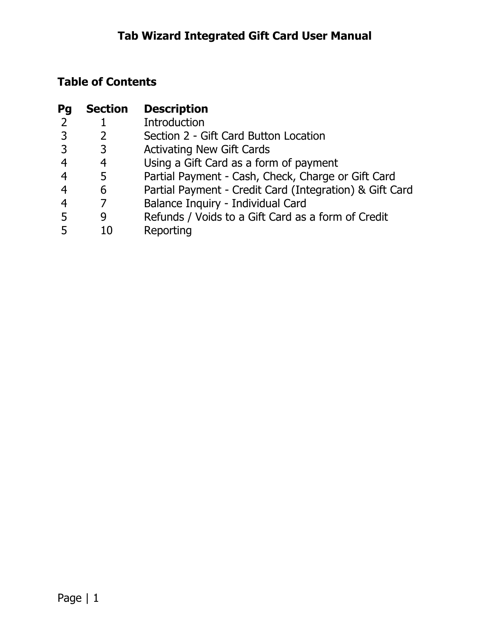# **Table of Contents**

| Pg             | <b>Section</b> | <b>Description</b>                                      |
|----------------|----------------|---------------------------------------------------------|
| 2              |                | <b>Introduction</b>                                     |
| 3              |                | Section 2 - Gift Card Button Location                   |
| $\overline{3}$ | 3              | <b>Activating New Gift Cards</b>                        |
| $\overline{4}$ | 4              | Using a Gift Card as a form of payment                  |
| $\overline{4}$ | 5              | Partial Payment - Cash, Check, Charge or Gift Card      |
| $\overline{4}$ | 6              | Partial Payment - Credit Card (Integration) & Gift Card |
| $\overline{4}$ |                | Balance Inquiry - Individual Card                       |
| -5             | 9              | Refunds / Voids to a Gift Card as a form of Credit      |
|                | 10             | Reporting                                               |
|                |                |                                                         |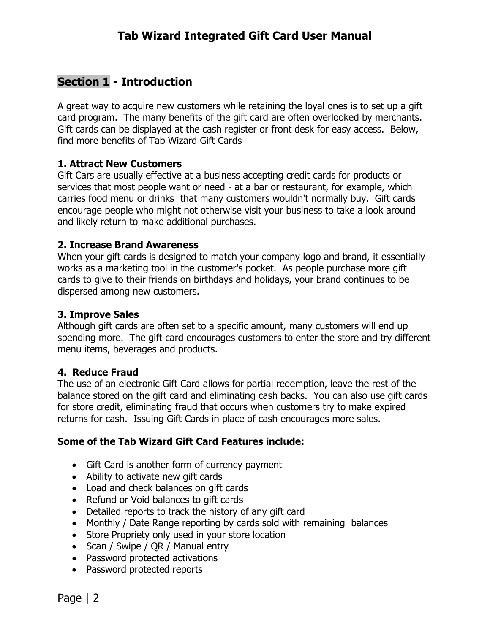#### **Section 1 - Introduction**

A great way to acquire new customers while retaining the loyal ones is to set up a gift card program. The many benefits of the gift card are often overlooked by merchants. Gift cards can be displayed at the cash register or front desk for easy access. Below, find more benefits of Tab Wizard Gift Cards

#### **1. Attract New Customers**

Gift Cars are usually effective at a business accepting credit cards for products or services that most people want or need - at a bar or restaurant, for example, which carries food menu or drinks that many customers wouldn't normally buy. Gift cards encourage people who might not otherwise visit your business to take a look around and likely return to make additional purchases.

#### **2. Increase Brand Awareness**

When your gift cards is designed to match your company logo and brand, it essentially works as a marketing tool in the customer's pocket. As people purchase more gift cards to give to their friends on birthdays and holidays, your brand continues to be dispersed among new customers.

#### **3. Improve Sales**

Although gift cards are often set to a specific amount, many customers will end up spending more. The gift card encourages customers to enter the store and try different menu items, beverages and products.

#### **4. Reduce Fraud**

The use of an electronic Gift Card allows for partial redemption, leave the rest of the balance stored on the gift card and eliminating cash backs. You can also use gift cards for store credit, eliminating fraud that occurs when customers try to make expired returns for cash. Issuing Gift Cards in place of cash encourages more sales.

#### **Some of the Tab Wizard Gift Card Features include:**

- Gift Card is another form of currency payment
- Ability to activate new gift cards
- Load and check balances on gift cards
- Refund or Void balances to gift cards
- Detailed reports to track the history of any gift card
- Monthly / Date Range reporting by cards sold with remaining balances
- Store Propriety only used in your store location
- Scan / Swipe / QR / Manual entry
- Password protected activations
- Password protected reports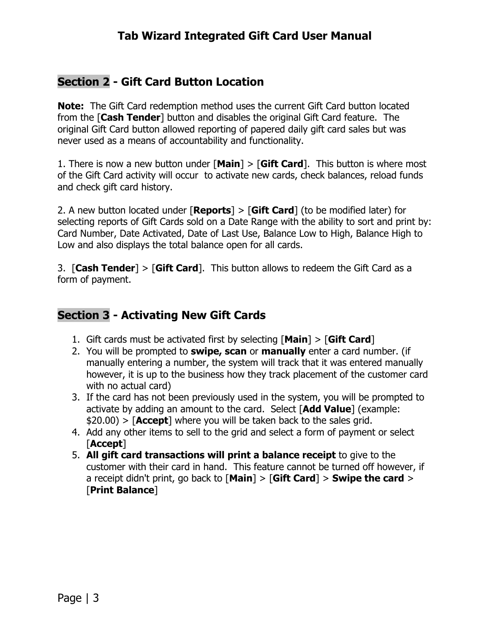### **Tab Wizard Integrated Gift Card User Manual**

#### **Section 2 - Gift Card Button Location**

**Note:** The Gift Card redemption method uses the current Gift Card button located from the [**Cash Tender**] button and disables the original Gift Card feature. The original Gift Card button allowed reporting of papered daily gift card sales but was never used as a means of accountability and functionality.

1. There is now a new button under [**Main**] > [**Gift Card**]. This button is where most of the Gift Card activity will occur to activate new cards, check balances, reload funds and check gift card history.

2. A new button located under [**Reports**] > [**Gift Card**] (to be modified later) for selecting reports of Gift Cards sold on a Date Range with the ability to sort and print by: Card Number, Date Activated, Date of Last Use, Balance Low to High, Balance High to Low and also displays the total balance open for all cards.

3. [**Cash Tender**] > [**Gift Card**]. This button allows to redeem the Gift Card as a form of payment.

### **Section 3 - Activating New Gift Cards**

- 1. Gift cards must be activated first by selecting [**Main**] > [**Gift Card**]
- 2. You will be prompted to **swipe, scan** or **manually** enter a card number. (if manually entering a number, the system will track that it was entered manually however, it is up to the business how they track placement of the customer card with no actual card)
- 3. If the card has not been previously used in the system, you will be prompted to activate by adding an amount to the card. Select [**Add Value**] (example: \$20.00) > [**Accept**] where you will be taken back to the sales grid.
- 4. Add any other items to sell to the grid and select a form of payment or select [**Accept**]
- 5. **All gift card transactions will print a balance receipt** to give to the customer with their card in hand. This feature cannot be turned off however, if a receipt didn't print, go back to [**Main**] > [**Gift Card**] > **Swipe the card** > [**Print Balance**]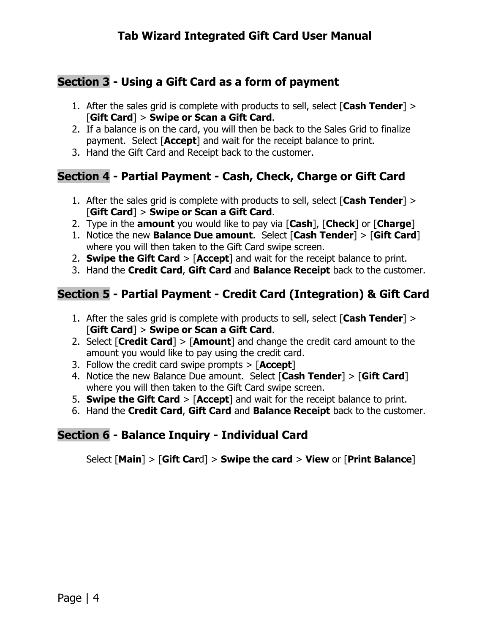## **Section 3 - Using a Gift Card as a form of payment**

- 1. After the sales grid is complete with products to sell, select [**Cash Tender**] > [**Gift Card**] > **Swipe or Scan a Gift Card**.
- 2. If a balance is on the card, you will then be back to the Sales Grid to finalize payment. Select [**Accept**] and wait for the receipt balance to print.
- 3. Hand the Gift Card and Receipt back to the customer.

### **Section 4 - Partial Payment - Cash, Check, Charge or Gift Card**

- 1. After the sales grid is complete with products to sell, select [**Cash Tender**] > [**Gift Card**] > **Swipe or Scan a Gift Card**.
- 2. Type in the **amount** you would like to pay via [**Cash**], [**Check**] or [**Charge**]
- 1. Notice the new **Balance Due amount**. Select [**Cash Tender**] > [**Gift Card**] where you will then taken to the Gift Card swipe screen.
- 2. **Swipe the Gift Card** > [**Accept**] and wait for the receipt balance to print.
- 3. Hand the **Credit Card**, **Gift Card** and **Balance Receipt** back to the customer.

# **Section 5 - Partial Payment - Credit Card (Integration) & Gift Card**

- 1. After the sales grid is complete with products to sell, select [**Cash Tender**] > [**Gift Card**] > **Swipe or Scan a Gift Card**.
- 2. Select [**Credit Card**] > [**Amount**] and change the credit card amount to the amount you would like to pay using the credit card.
- 3. Follow the credit card swipe prompts > [**Accept**]
- 4. Notice the new Balance Due amount. Select [**Cash Tender**] > [**Gift Card**] where you will then taken to the Gift Card swipe screen.
- 5. **Swipe the Gift Card** > [**Accept**] and wait for the receipt balance to print.
- 6. Hand the **Credit Card**, **Gift Card** and **Balance Receipt** back to the customer.

### **Section 6 - Balance Inquiry - Individual Card**

Select [**Main**] > [**Gift Car**d] > **Swipe the card** > **View** or [**Print Balance**]